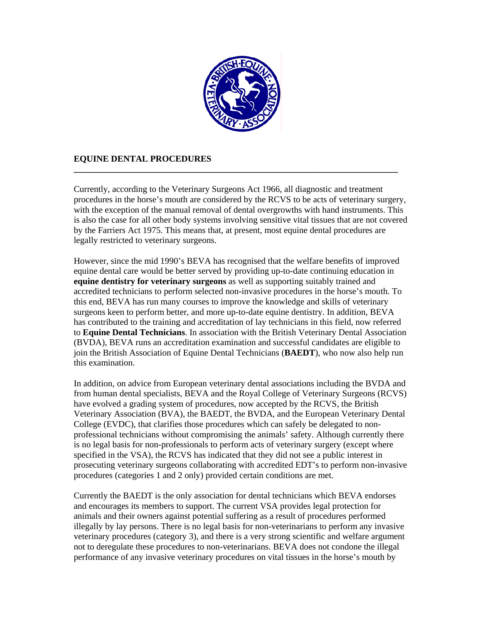

## **EQUINE DENTAL PROCEDURES**

Currently, according to the Veterinary Surgeons Act 1966, all diagnostic and treatment procedures in the horse's mouth are considered by the RCVS to be acts of veterinary surgery, with the exception of the manual removal of dental overgrowths with hand instruments. This is also the case for all other body systems involving sensitive vital tissues that are not covered by the Farriers Act 1975. This means that, at present, most equine dental procedures are legally restricted to veterinary surgeons.

**\_\_\_\_\_\_\_\_\_\_\_\_\_\_\_\_\_\_\_\_\_\_\_\_\_\_\_\_\_\_\_\_\_\_\_\_\_\_\_\_\_\_\_\_\_\_\_\_\_\_\_\_\_\_\_\_\_\_\_\_\_\_\_\_\_\_\_\_\_\_\_\_\_** 

However, since the mid 1990's BEVA has recognised that the welfare benefits of improved equine dental care would be better served by providing up-to-date continuing education in **equine dentistry for veterinary surgeons** as well as supporting suitably trained and accredited technicians to perform selected non-invasive procedures in the horse's mouth. To this end, BEVA has run many courses to improve the knowledge and skills of veterinary surgeons keen to perform better, and more up-to-date equine dentistry. In addition, BEVA has contributed to the training and accreditation of lay technicians in this field, now referred to **Equine Dental Technicians**. In association with the British Veterinary Dental Association (BVDA), BEVA runs an accreditation examination and successful candidates are eligible to join the British Association of Equine Dental Technicians (**BAEDT**), who now also help run this examination.

In addition, on advice from European veterinary dental associations including the BVDA and from human dental specialists, BEVA and the Royal College of Veterinary Surgeons (RCVS) have evolved a grading system of procedures, now accepted by the RCVS, the British Veterinary Association (BVA), the BAEDT, the BVDA, and the European Veterinary Dental College (EVDC), that clarifies those procedures which can safely be delegated to nonprofessional technicians without compromising the animals' safety. Although currently there is no legal basis for non-professionals to perform acts of veterinary surgery (except where specified in the VSA), the RCVS has indicated that they did not see a public interest in prosecuting veterinary surgeons collaborating with accredited EDT's to perform non-invasive procedures (categories 1 and 2 only) provided certain conditions are met.

Currently the BAEDT is the only association for dental technicians which BEVA endorses and encourages its members to support. The current VSA provides legal protection for animals and their owners against potential suffering as a result of procedures performed illegally by lay persons. There is no legal basis for non-veterinarians to perform any invasive veterinary procedures (category 3), and there is a very strong scientific and welfare argument not to deregulate these procedures to non-veterinarians. BEVA does not condone the illegal performance of any invasive veterinary procedures on vital tissues in the horse's mouth by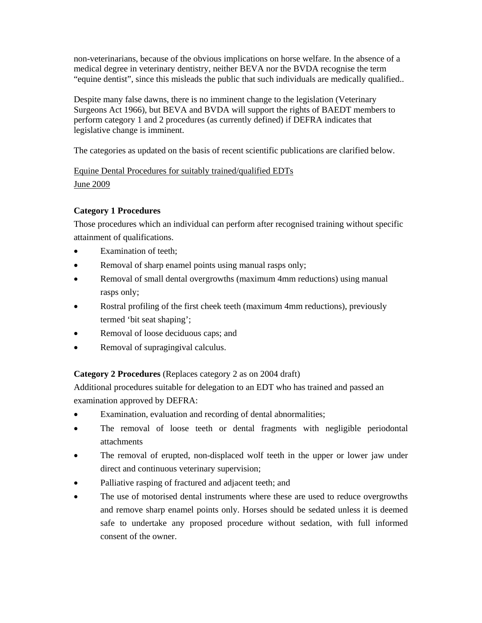non-veterinarians, because of the obvious implications on horse welfare. In the absence of a medical degree in veterinary dentistry, neither BEVA nor the BVDA recognise the term "equine dentist", since this misleads the public that such individuals are medically qualified..

Despite many false dawns, there is no imminent change to the legislation (Veterinary Surgeons Act 1966), but BEVA and BVDA will support the rights of BAEDT members to perform category 1 and 2 procedures (as currently defined) if DEFRA indicates that legislative change is imminent.

The categories as updated on the basis of recent scientific publications are clarified below.

## Equine Dental Procedures for suitably trained/qualified EDTs June 2009

## **Category 1 Procedures**

Those procedures which an individual can perform after recognised training without specific attainment of qualifications.

- Examination of teeth:
- Removal of sharp enamel points using manual rasps only;
- Removal of small dental overgrowths (maximum 4mm reductions) using manual rasps only;
- Rostral profiling of the first cheek teeth (maximum 4mm reductions), previously termed 'bit seat shaping';
- Removal of loose deciduous caps; and
- Removal of supragingival calculus.

**Category 2 Procedures** (Replaces category 2 as on 2004 draft)

Additional procedures suitable for delegation to an EDT who has trained and passed an examination approved by DEFRA:

- Examination, evaluation and recording of dental abnormalities;
- The removal of loose teeth or dental fragments with negligible periodontal attachments
- The removal of erupted, non-displaced wolf teeth in the upper or lower jaw under direct and continuous veterinary supervision;
- Palliative rasping of fractured and adjacent teeth; and
- The use of motorised dental instruments where these are used to reduce overgrowths and remove sharp enamel points only. Horses should be sedated unless it is deemed safe to undertake any proposed procedure without sedation, with full informed consent of the owner.